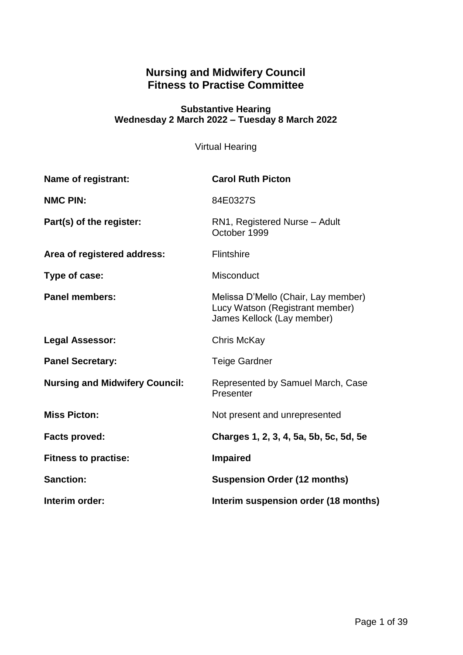# **Nursing and Midwifery Council Fitness to Practise Committee**

#### **Substantive Hearing Wednesday 2 March 2022 – Tuesday 8 March 2022**

Virtual Hearing

| Name of registrant:                   | <b>Carol Ruth Picton</b>                                                                             |
|---------------------------------------|------------------------------------------------------------------------------------------------------|
| <b>NMC PIN:</b>                       | 84E0327S                                                                                             |
| Part(s) of the register:              | RN1, Registered Nurse - Adult<br>October 1999                                                        |
| Area of registered address:           | <b>Flintshire</b>                                                                                    |
| Type of case:                         | <b>Misconduct</b>                                                                                    |
| <b>Panel members:</b>                 | Melissa D'Mello (Chair, Lay member)<br>Lucy Watson (Registrant member)<br>James Kellock (Lay member) |
| <b>Legal Assessor:</b>                | Chris McKay                                                                                          |
| <b>Panel Secretary:</b>               | <b>Teige Gardner</b>                                                                                 |
| <b>Nursing and Midwifery Council:</b> | Represented by Samuel March, Case<br>Presenter                                                       |
| <b>Miss Picton:</b>                   | Not present and unrepresented                                                                        |
| <b>Facts proved:</b>                  | Charges 1, 2, 3, 4, 5a, 5b, 5c, 5d, 5e                                                               |
| <b>Fitness to practise:</b>           | <b>Impaired</b>                                                                                      |
| <b>Sanction:</b>                      | <b>Suspension Order (12 months)</b>                                                                  |
| Interim order:                        | Interim suspension order (18 months)                                                                 |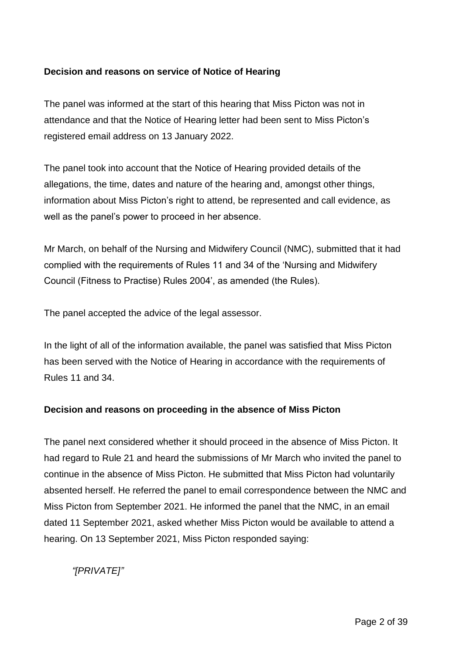#### **Decision and reasons on service of Notice of Hearing**

The panel was informed at the start of this hearing that Miss Picton was not in attendance and that the Notice of Hearing letter had been sent to Miss Picton's registered email address on 13 January 2022.

The panel took into account that the Notice of Hearing provided details of the allegations, the time, dates and nature of the hearing and, amongst other things, information about Miss Picton's right to attend, be represented and call evidence, as well as the panel's power to proceed in her absence.

Mr March, on behalf of the Nursing and Midwifery Council (NMC), submitted that it had complied with the requirements of Rules 11 and 34 of the 'Nursing and Midwifery Council (Fitness to Practise) Rules 2004', as amended (the Rules).

The panel accepted the advice of the legal assessor.

In the light of all of the information available, the panel was satisfied that Miss Picton has been served with the Notice of Hearing in accordance with the requirements of Rules 11 and 34.

#### **Decision and reasons on proceeding in the absence of Miss Picton**

The panel next considered whether it should proceed in the absence of Miss Picton. It had regard to Rule 21 and heard the submissions of Mr March who invited the panel to continue in the absence of Miss Picton. He submitted that Miss Picton had voluntarily absented herself. He referred the panel to email correspondence between the NMC and Miss Picton from September 2021. He informed the panel that the NMC, in an email dated 11 September 2021, asked whether Miss Picton would be available to attend a hearing. On 13 September 2021, Miss Picton responded saying:

*"[PRIVATE]"*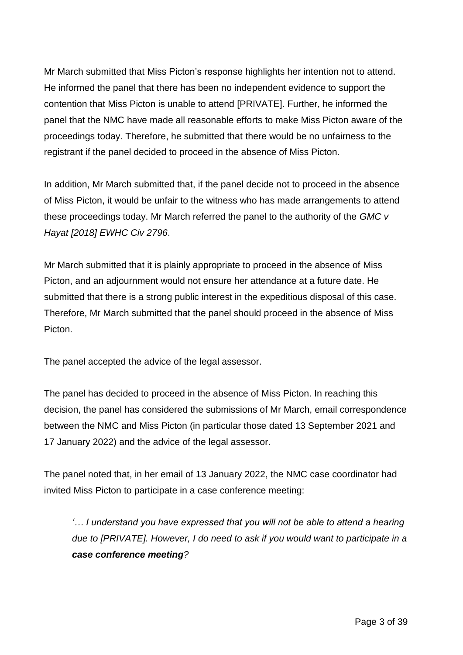Mr March submitted that Miss Picton's response highlights her intention not to attend. He informed the panel that there has been no independent evidence to support the contention that Miss Picton is unable to attend [PRIVATE]. Further, he informed the panel that the NMC have made all reasonable efforts to make Miss Picton aware of the proceedings today. Therefore, he submitted that there would be no unfairness to the registrant if the panel decided to proceed in the absence of Miss Picton.

In addition, Mr March submitted that, if the panel decide not to proceed in the absence of Miss Picton, it would be unfair to the witness who has made arrangements to attend these proceedings today. Mr March referred the panel to the authority of the *GMC v Hayat [2018] EWHC Civ 2796*.

Mr March submitted that it is plainly appropriate to proceed in the absence of Miss Picton, and an adjournment would not ensure her attendance at a future date. He submitted that there is a strong public interest in the expeditious disposal of this case. Therefore, Mr March submitted that the panel should proceed in the absence of Miss Picton.

The panel accepted the advice of the legal assessor.

The panel has decided to proceed in the absence of Miss Picton. In reaching this decision, the panel has considered the submissions of Mr March, email correspondence between the NMC and Miss Picton (in particular those dated 13 September 2021 and 17 January 2022) and the advice of the legal assessor.

The panel noted that, in her email of 13 January 2022, the NMC case coordinator had invited Miss Picton to participate in a case conference meeting:

*'… I understand you have expressed that you will not be able to attend a hearing due to [PRIVATE]. However, I do need to ask if you would want to participate in a case conference meeting?*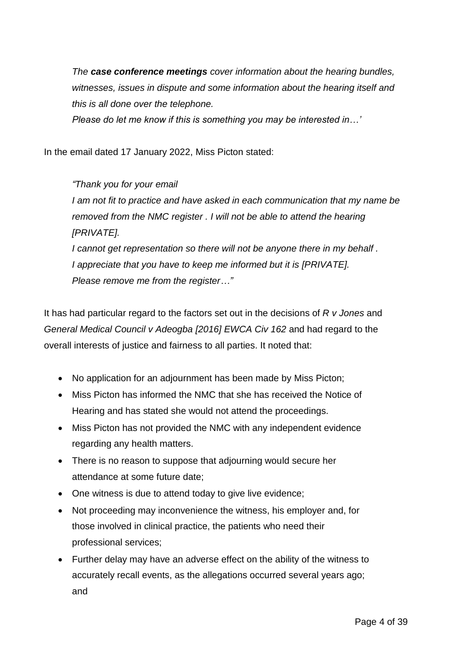*The case conference meetings cover information about the hearing bundles, witnesses, issues in dispute and some information about the hearing itself and this is all done over the telephone.*

*Please do let me know if this is something you may be interested in…'*

In the email dated 17 January 2022, Miss Picton stated:

*"Thank you for your email I am not fit to practice and have asked in each communication that my name be removed from the NMC register . I will not be able to attend the hearing [PRIVATE]. I cannot get representation so there will not be anyone there in my behalf . I appreciate that you have to keep me informed but it is [PRIVATE]. Please remove me from the register…"*

It has had particular regard to the factors set out in the decisions of *R v Jones* and *General Medical Council v Adeogba [2016] EWCA Civ 162* and had regard to the overall interests of justice and fairness to all parties. It noted that:

- No application for an adjournment has been made by Miss Picton;
- Miss Picton has informed the NMC that she has received the Notice of Hearing and has stated she would not attend the proceedings.
- Miss Picton has not provided the NMC with any independent evidence regarding any health matters.
- There is no reason to suppose that adjourning would secure her attendance at some future date;
- One witness is due to attend today to give live evidence;
- Not proceeding may inconvenience the witness, his employer and, for those involved in clinical practice, the patients who need their professional services;
- Further delay may have an adverse effect on the ability of the witness to accurately recall events, as the allegations occurred several years ago; and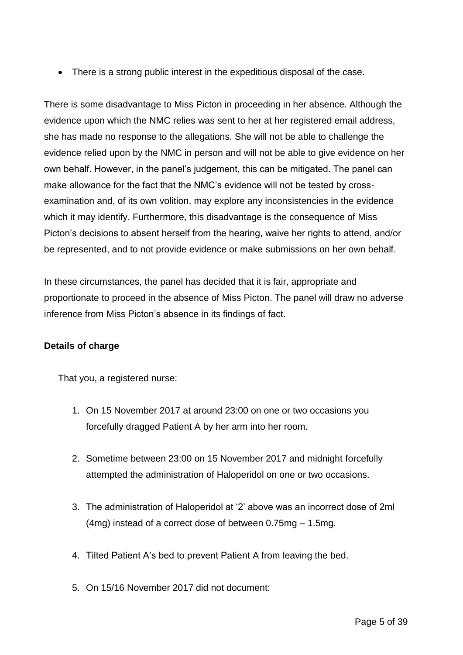• There is a strong public interest in the expeditious disposal of the case.

There is some disadvantage to Miss Picton in proceeding in her absence. Although the evidence upon which the NMC relies was sent to her at her registered email address, she has made no response to the allegations. She will not be able to challenge the evidence relied upon by the NMC in person and will not be able to give evidence on her own behalf. However, in the panel's judgement, this can be mitigated. The panel can make allowance for the fact that the NMC's evidence will not be tested by crossexamination and, of its own volition, may explore any inconsistencies in the evidence which it may identify. Furthermore, this disadvantage is the consequence of Miss Picton's decisions to absent herself from the hearing, waive her rights to attend, and/or be represented, and to not provide evidence or make submissions on her own behalf.

In these circumstances, the panel has decided that it is fair, appropriate and proportionate to proceed in the absence of Miss Picton. The panel will draw no adverse inference from Miss Picton's absence in its findings of fact.

## **Details of charge**

That you, a registered nurse:

- 1. On 15 November 2017 at around 23:00 on one or two occasions you forcefully dragged Patient A by her arm into her room.
- 2. Sometime between 23:00 on 15 November 2017 and midnight forcefully attempted the administration of Haloperidol on one or two occasions.
- 3. The administration of Haloperidol at '2' above was an incorrect dose of 2ml (4mg) instead of a correct dose of between 0.75mg – 1.5mg.
- 4. Tilted Patient A's bed to prevent Patient A from leaving the bed.
- 5. On 15/16 November 2017 did not document: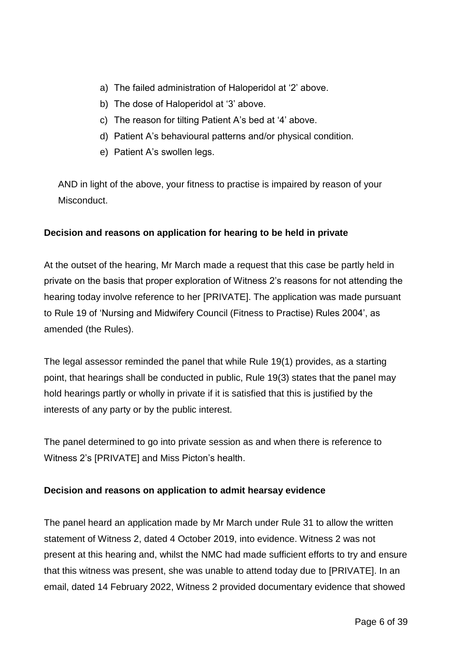- a) The failed administration of Haloperidol at '2' above.
- b) The dose of Haloperidol at '3' above.
- c) The reason for tilting Patient A's bed at '4' above.
- d) Patient A's behavioural patterns and/or physical condition.
- e) Patient A's swollen legs.

AND in light of the above, your fitness to practise is impaired by reason of your Misconduct.

## **Decision and reasons on application for hearing to be held in private**

At the outset of the hearing, Mr March made a request that this case be partly held in private on the basis that proper exploration of Witness 2's reasons for not attending the hearing today involve reference to her [PRIVATE]. The application was made pursuant to Rule 19 of 'Nursing and Midwifery Council (Fitness to Practise) Rules 2004', as amended (the Rules).

The legal assessor reminded the panel that while Rule 19(1) provides, as a starting point, that hearings shall be conducted in public, Rule 19(3) states that the panel may hold hearings partly or wholly in private if it is satisfied that this is justified by the interests of any party or by the public interest.

The panel determined to go into private session as and when there is reference to Witness 2's [PRIVATE] and Miss Picton's health.

## **Decision and reasons on application to admit hearsay evidence**

The panel heard an application made by Mr March under Rule 31 to allow the written statement of Witness 2, dated 4 October 2019, into evidence. Witness 2 was not present at this hearing and, whilst the NMC had made sufficient efforts to try and ensure that this witness was present, she was unable to attend today due to [PRIVATE]. In an email, dated 14 February 2022, Witness 2 provided documentary evidence that showed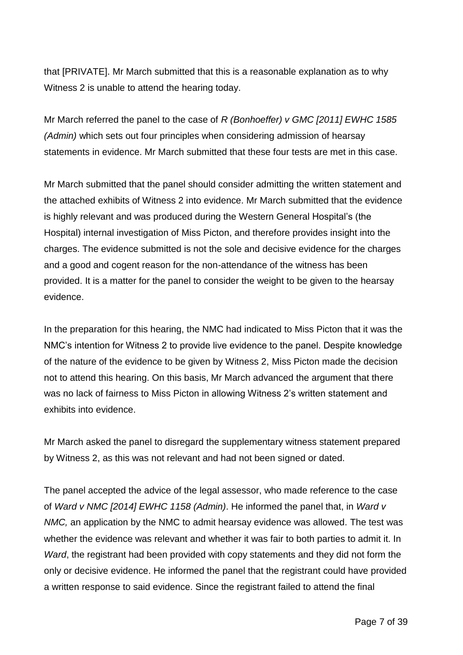that [PRIVATE]. Mr March submitted that this is a reasonable explanation as to why Witness 2 is unable to attend the hearing today.

Mr March referred the panel to the case of *R (Bonhoeffer) v GMC [2011] EWHC 1585 (Admin)* which sets out four principles when considering admission of hearsay statements in evidence. Mr March submitted that these four tests are met in this case.

Mr March submitted that the panel should consider admitting the written statement and the attached exhibits of Witness 2 into evidence. Mr March submitted that the evidence is highly relevant and was produced during the Western General Hospital's (the Hospital) internal investigation of Miss Picton, and therefore provides insight into the charges. The evidence submitted is not the sole and decisive evidence for the charges and a good and cogent reason for the non-attendance of the witness has been provided. It is a matter for the panel to consider the weight to be given to the hearsay evidence.

In the preparation for this hearing, the NMC had indicated to Miss Picton that it was the NMC's intention for Witness 2 to provide live evidence to the panel. Despite knowledge of the nature of the evidence to be given by Witness 2, Miss Picton made the decision not to attend this hearing. On this basis, Mr March advanced the argument that there was no lack of fairness to Miss Picton in allowing Witness 2's written statement and exhibits into evidence.

Mr March asked the panel to disregard the supplementary witness statement prepared by Witness 2, as this was not relevant and had not been signed or dated.

The panel accepted the advice of the legal assessor, who made reference to the case of *Ward v NMC [2014] EWHC 1158 (Admin)*. He informed the panel that, in *Ward v NMC,* an application by the NMC to admit hearsay evidence was allowed. The test was whether the evidence was relevant and whether it was fair to both parties to admit it. In *Ward*, the registrant had been provided with copy statements and they did not form the only or decisive evidence. He informed the panel that the registrant could have provided a written response to said evidence. Since the registrant failed to attend the final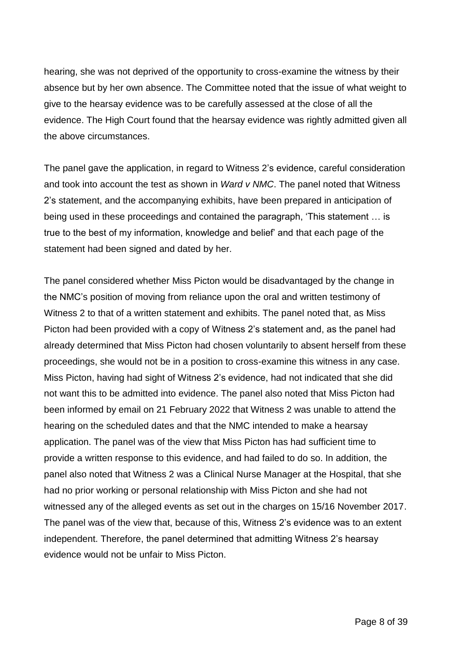hearing, she was not deprived of the opportunity to cross-examine the witness by their absence but by her own absence. The Committee noted that the issue of what weight to give to the hearsay evidence was to be carefully assessed at the close of all the evidence. The High Court found that the hearsay evidence was rightly admitted given all the above circumstances.

The panel gave the application, in regard to Witness 2's evidence, careful consideration and took into account the test as shown in *Ward v NMC*. The panel noted that Witness 2's statement, and the accompanying exhibits, have been prepared in anticipation of being used in these proceedings and contained the paragraph, 'This statement … is true to the best of my information, knowledge and belief' and that each page of the statement had been signed and dated by her.

The panel considered whether Miss Picton would be disadvantaged by the change in the NMC's position of moving from reliance upon the oral and written testimony of Witness 2 to that of a written statement and exhibits. The panel noted that, as Miss Picton had been provided with a copy of Witness 2's statement and, as the panel had already determined that Miss Picton had chosen voluntarily to absent herself from these proceedings, she would not be in a position to cross-examine this witness in any case. Miss Picton, having had sight of Witness 2's evidence, had not indicated that she did not want this to be admitted into evidence. The panel also noted that Miss Picton had been informed by email on 21 February 2022 that Witness 2 was unable to attend the hearing on the scheduled dates and that the NMC intended to make a hearsay application. The panel was of the view that Miss Picton has had sufficient time to provide a written response to this evidence, and had failed to do so. In addition, the panel also noted that Witness 2 was a Clinical Nurse Manager at the Hospital, that she had no prior working or personal relationship with Miss Picton and she had not witnessed any of the alleged events as set out in the charges on 15/16 November 2017. The panel was of the view that, because of this, Witness 2's evidence was to an extent independent. Therefore, the panel determined that admitting Witness 2's hearsay evidence would not be unfair to Miss Picton.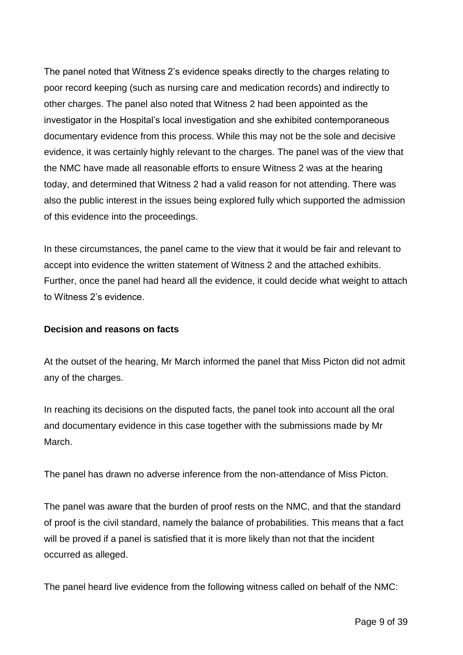The panel noted that Witness 2's evidence speaks directly to the charges relating to poor record keeping (such as nursing care and medication records) and indirectly to other charges. The panel also noted that Witness 2 had been appointed as the investigator in the Hospital's local investigation and she exhibited contemporaneous documentary evidence from this process. While this may not be the sole and decisive evidence, it was certainly highly relevant to the charges. The panel was of the view that the NMC have made all reasonable efforts to ensure Witness 2 was at the hearing today, and determined that Witness 2 had a valid reason for not attending. There was also the public interest in the issues being explored fully which supported the admission of this evidence into the proceedings.

In these circumstances, the panel came to the view that it would be fair and relevant to accept into evidence the written statement of Witness 2 and the attached exhibits. Further, once the panel had heard all the evidence, it could decide what weight to attach to Witness 2's evidence.

#### **Decision and reasons on facts**

At the outset of the hearing, Mr March informed the panel that Miss Picton did not admit any of the charges.

In reaching its decisions on the disputed facts, the panel took into account all the oral and documentary evidence in this case together with the submissions made by Mr March.

The panel has drawn no adverse inference from the non-attendance of Miss Picton.

The panel was aware that the burden of proof rests on the NMC, and that the standard of proof is the civil standard, namely the balance of probabilities. This means that a fact will be proved if a panel is satisfied that it is more likely than not that the incident occurred as alleged.

The panel heard live evidence from the following witness called on behalf of the NMC: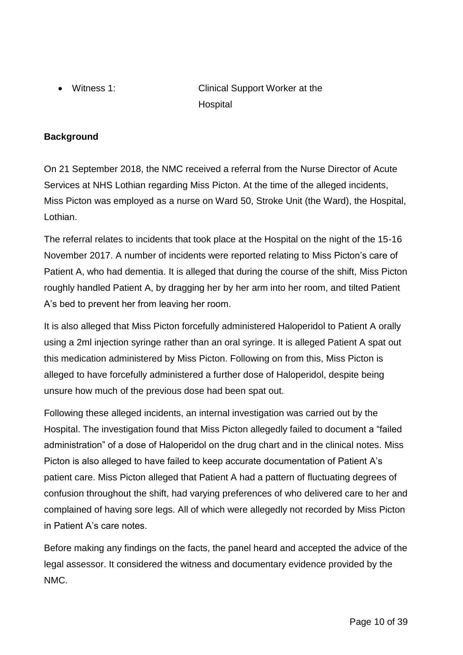Witness 1: Clinical Support Worker at the Hospital

# **Background**

On 21 September 2018, the NMC received a referral from the Nurse Director of Acute Services at NHS Lothian regarding Miss Picton. At the time of the alleged incidents, Miss Picton was employed as a nurse on Ward 50, Stroke Unit (the Ward), the Hospital, Lothian.

The referral relates to incidents that took place at the Hospital on the night of the 15-16 November 2017. A number of incidents were reported relating to Miss Picton's care of Patient A, who had dementia. It is alleged that during the course of the shift, Miss Picton roughly handled Patient A, by dragging her by her arm into her room, and tilted Patient A's bed to prevent her from leaving her room.

It is also alleged that Miss Picton forcefully administered Haloperidol to Patient A orally using a 2ml injection syringe rather than an oral syringe. It is alleged Patient A spat out this medication administered by Miss Picton. Following on from this, Miss Picton is alleged to have forcefully administered a further dose of Haloperidol, despite being unsure how much of the previous dose had been spat out.

Following these alleged incidents, an internal investigation was carried out by the Hospital. The investigation found that Miss Picton allegedly failed to document a "failed administration" of a dose of Haloperidol on the drug chart and in the clinical notes. Miss Picton is also alleged to have failed to keep accurate documentation of Patient A's patient care. Miss Picton alleged that Patient A had a pattern of fluctuating degrees of confusion throughout the shift, had varying preferences of who delivered care to her and complained of having sore legs. All of which were allegedly not recorded by Miss Picton in Patient A's care notes.

Before making any findings on the facts, the panel heard and accepted the advice of the legal assessor. It considered the witness and documentary evidence provided by the NMC.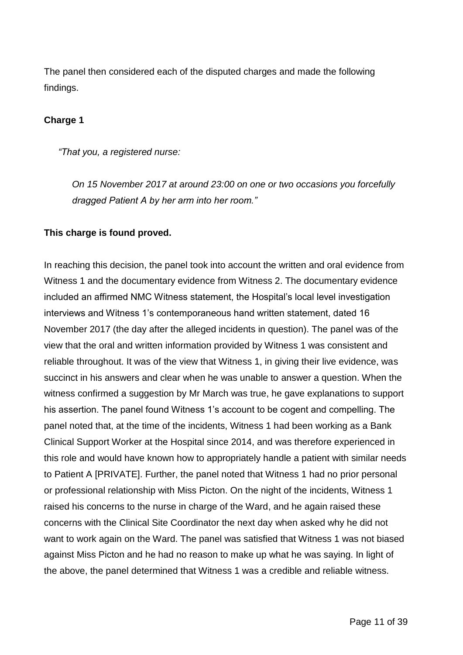The panel then considered each of the disputed charges and made the following findings.

#### **Charge 1**

*"That you, a registered nurse:*

*On 15 November 2017 at around 23:00 on one or two occasions you forcefully dragged Patient A by her arm into her room."*

#### **This charge is found proved.**

In reaching this decision, the panel took into account the written and oral evidence from Witness 1 and the documentary evidence from Witness 2. The documentary evidence included an affirmed NMC Witness statement, the Hospital's local level investigation interviews and Witness 1's contemporaneous hand written statement, dated 16 November 2017 (the day after the alleged incidents in question). The panel was of the view that the oral and written information provided by Witness 1 was consistent and reliable throughout. It was of the view that Witness 1, in giving their live evidence, was succinct in his answers and clear when he was unable to answer a question. When the witness confirmed a suggestion by Mr March was true, he gave explanations to support his assertion. The panel found Witness 1's account to be cogent and compelling. The panel noted that, at the time of the incidents, Witness 1 had been working as a Bank Clinical Support Worker at the Hospital since 2014, and was therefore experienced in this role and would have known how to appropriately handle a patient with similar needs to Patient A [PRIVATE]. Further, the panel noted that Witness 1 had no prior personal or professional relationship with Miss Picton. On the night of the incidents, Witness 1 raised his concerns to the nurse in charge of the Ward, and he again raised these concerns with the Clinical Site Coordinator the next day when asked why he did not want to work again on the Ward. The panel was satisfied that Witness 1 was not biased against Miss Picton and he had no reason to make up what he was saying. In light of the above, the panel determined that Witness 1 was a credible and reliable witness.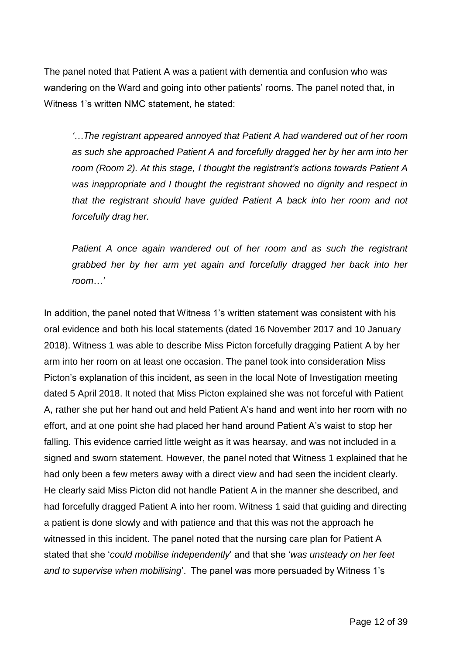The panel noted that Patient A was a patient with dementia and confusion who was wandering on the Ward and going into other patients' rooms. The panel noted that, in Witness 1's written NMC statement, he stated:

*'…The registrant appeared annoyed that Patient A had wandered out of her room as such she approached Patient A and forcefully dragged her by her arm into her room (Room 2). At this stage, I thought the registrant's actions towards Patient A was inappropriate and I thought the registrant showed no dignity and respect in that the registrant should have guided Patient A back into her room and not forcefully drag her.* 

*Patient A once again wandered out of her room and as such the registrant grabbed her by her arm yet again and forcefully dragged her back into her room…'*

In addition, the panel noted that Witness 1's written statement was consistent with his oral evidence and both his local statements (dated 16 November 2017 and 10 January 2018). Witness 1 was able to describe Miss Picton forcefully dragging Patient A by her arm into her room on at least one occasion. The panel took into consideration Miss Picton's explanation of this incident, as seen in the local Note of Investigation meeting dated 5 April 2018. It noted that Miss Picton explained she was not forceful with Patient A, rather she put her hand out and held Patient A's hand and went into her room with no effort, and at one point she had placed her hand around Patient A's waist to stop her falling. This evidence carried little weight as it was hearsay, and was not included in a signed and sworn statement. However, the panel noted that Witness 1 explained that he had only been a few meters away with a direct view and had seen the incident clearly. He clearly said Miss Picton did not handle Patient A in the manner she described, and had forcefully dragged Patient A into her room. Witness 1 said that guiding and directing a patient is done slowly and with patience and that this was not the approach he witnessed in this incident. The panel noted that the nursing care plan for Patient A stated that she '*could mobilise independently*' and that she '*was unsteady on her feet and to supervise when mobilising*'. The panel was more persuaded by Witness 1's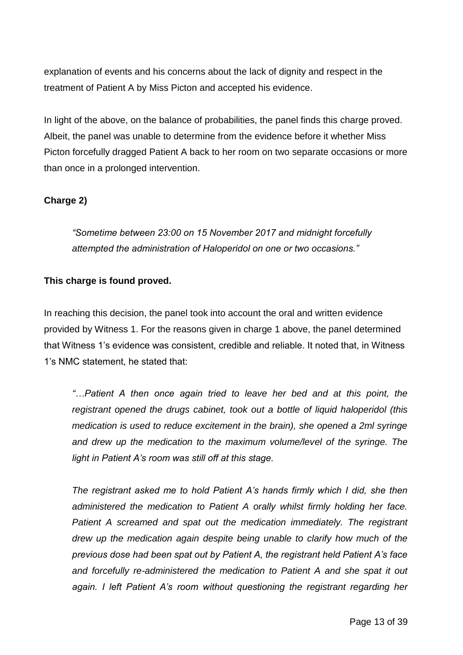explanation of events and his concerns about the lack of dignity and respect in the treatment of Patient A by Miss Picton and accepted his evidence.

In light of the above, on the balance of probabilities, the panel finds this charge proved. Albeit, the panel was unable to determine from the evidence before it whether Miss Picton forcefully dragged Patient A back to her room on two separate occasions or more than once in a prolonged intervention.

# **Charge 2)**

*"Sometime between 23:00 on 15 November 2017 and midnight forcefully attempted the administration of Haloperidol on one or two occasions."*

## **This charge is found proved.**

In reaching this decision, the panel took into account the oral and written evidence provided by Witness 1. For the reasons given in charge 1 above, the panel determined that Witness 1's evidence was consistent, credible and reliable. It noted that, in Witness 1's NMC statement, he stated that:

*"…Patient A then once again tried to leave her bed and at this point, the registrant opened the drugs cabinet, took out a bottle of liquid haloperidol (this medication is used to reduce excitement in the brain), she opened a 2ml syringe and drew up the medication to the maximum volume/level of the syringe. The light in Patient A's room was still off at this stage.*

*The registrant asked me to hold Patient A's hands firmly which I did, she then administered the medication to Patient A orally whilst firmly holding her face. Patient A screamed and spat out the medication immediately. The registrant drew up the medication again despite being unable to clarify how much of the previous dose had been spat out by Patient A, the registrant held Patient A's face and forcefully re-administered the medication to Patient A and she spat it out again. I left Patient A's room without questioning the registrant regarding her*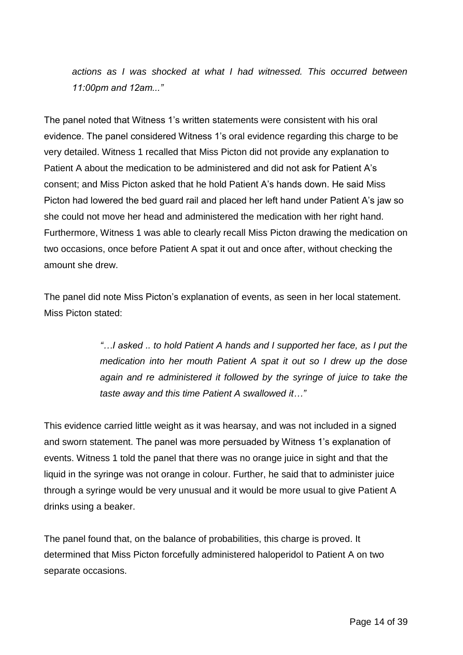*actions as I was shocked at what I had witnessed. This occurred between 11:00pm and 12am..."*

The panel noted that Witness 1's written statements were consistent with his oral evidence. The panel considered Witness 1's oral evidence regarding this charge to be very detailed. Witness 1 recalled that Miss Picton did not provide any explanation to Patient A about the medication to be administered and did not ask for Patient A's consent; and Miss Picton asked that he hold Patient A's hands down. He said Miss Picton had lowered the bed guard rail and placed her left hand under Patient A's jaw so she could not move her head and administered the medication with her right hand. Furthermore, Witness 1 was able to clearly recall Miss Picton drawing the medication on two occasions, once before Patient A spat it out and once after, without checking the amount she drew.

The panel did note Miss Picton's explanation of events, as seen in her local statement. Miss Picton stated:

> *"…I asked .. to hold Patient A hands and I supported her face, as I put the medication into her mouth Patient A spat it out so I drew up the dose*  again and re administered it followed by the syringe of juice to take the *taste away and this time Patient A swallowed it…"*

This evidence carried little weight as it was hearsay, and was not included in a signed and sworn statement. The panel was more persuaded by Witness 1's explanation of events. Witness 1 told the panel that there was no orange juice in sight and that the liquid in the syringe was not orange in colour. Further, he said that to administer juice through a syringe would be very unusual and it would be more usual to give Patient A drinks using a beaker.

The panel found that, on the balance of probabilities, this charge is proved. It determined that Miss Picton forcefully administered haloperidol to Patient A on two separate occasions.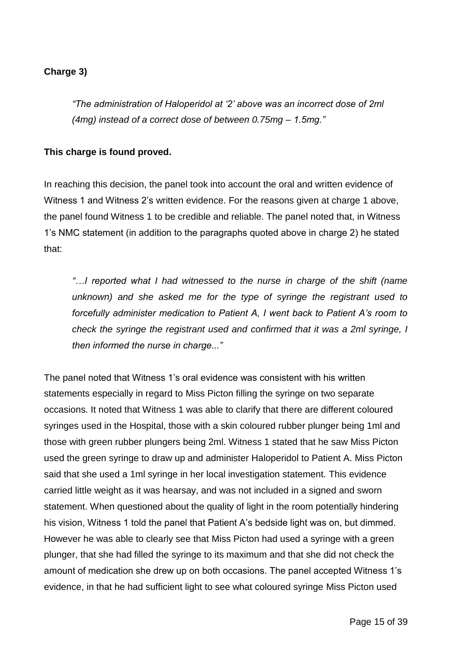#### **Charge 3)**

*"The administration of Haloperidol at '2' above was an incorrect dose of 2ml (4mg) instead of a correct dose of between 0.75mg – 1.5mg."*

#### **This charge is found proved.**

In reaching this decision, the panel took into account the oral and written evidence of Witness 1 and Witness 2's written evidence. For the reasons given at charge 1 above, the panel found Witness 1 to be credible and reliable. The panel noted that, in Witness 1's NMC statement (in addition to the paragraphs quoted above in charge 2) he stated that:

*"…I reported what I had witnessed to the nurse in charge of the shift (name unknown) and she asked me for the type of syringe the registrant used to forcefully administer medication to Patient A, I went back to Patient A's room to check the syringe the registrant used and confirmed that it was a 2ml syringe, I then informed the nurse in charge..."*

The panel noted that Witness 1's oral evidence was consistent with his written statements especially in regard to Miss Picton filling the syringe on two separate occasions. It noted that Witness 1 was able to clarify that there are different coloured syringes used in the Hospital, those with a skin coloured rubber plunger being 1ml and those with green rubber plungers being 2ml. Witness 1 stated that he saw Miss Picton used the green syringe to draw up and administer Haloperidol to Patient A. Miss Picton said that she used a 1ml syringe in her local investigation statement. This evidence carried little weight as it was hearsay, and was not included in a signed and sworn statement. When questioned about the quality of light in the room potentially hindering his vision, Witness 1 told the panel that Patient A's bedside light was on, but dimmed. However he was able to clearly see that Miss Picton had used a syringe with a green plunger, that she had filled the syringe to its maximum and that she did not check the amount of medication she drew up on both occasions. The panel accepted Witness 1's evidence, in that he had sufficient light to see what coloured syringe Miss Picton used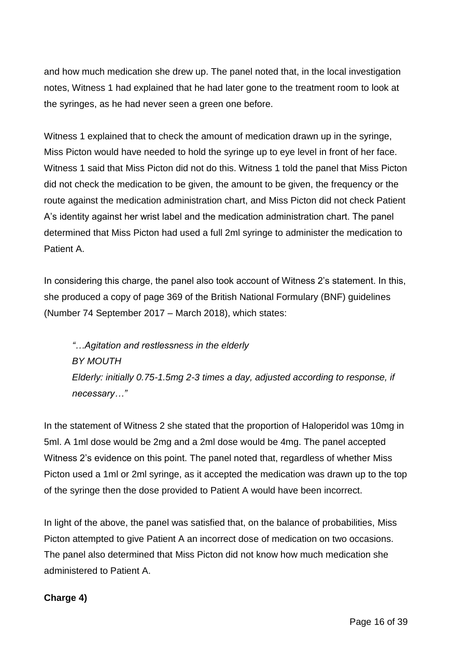and how much medication she drew up. The panel noted that, in the local investigation notes, Witness 1 had explained that he had later gone to the treatment room to look at the syringes, as he had never seen a green one before.

Witness 1 explained that to check the amount of medication drawn up in the syringe, Miss Picton would have needed to hold the syringe up to eye level in front of her face. Witness 1 said that Miss Picton did not do this. Witness 1 told the panel that Miss Picton did not check the medication to be given, the amount to be given, the frequency or the route against the medication administration chart, and Miss Picton did not check Patient A's identity against her wrist label and the medication administration chart. The panel determined that Miss Picton had used a full 2ml syringe to administer the medication to Patient A.

In considering this charge, the panel also took account of Witness 2's statement. In this, she produced a copy of page 369 of the British National Formulary (BNF) guidelines (Number 74 September 2017 – March 2018), which states:

*"…Agitation and restlessness in the elderly BY MOUTH Elderly: initially 0.75-1.5mg 2-3 times a day, adjusted according to response, if necessary…"*

In the statement of Witness 2 she stated that the proportion of Haloperidol was 10mg in 5ml. A 1ml dose would be 2mg and a 2ml dose would be 4mg. The panel accepted Witness 2's evidence on this point. The panel noted that, regardless of whether Miss Picton used a 1ml or 2ml syringe, as it accepted the medication was drawn up to the top of the syringe then the dose provided to Patient A would have been incorrect.

In light of the above, the panel was satisfied that, on the balance of probabilities, Miss Picton attempted to give Patient A an incorrect dose of medication on two occasions. The panel also determined that Miss Picton did not know how much medication she administered to Patient A.

## **Charge 4)**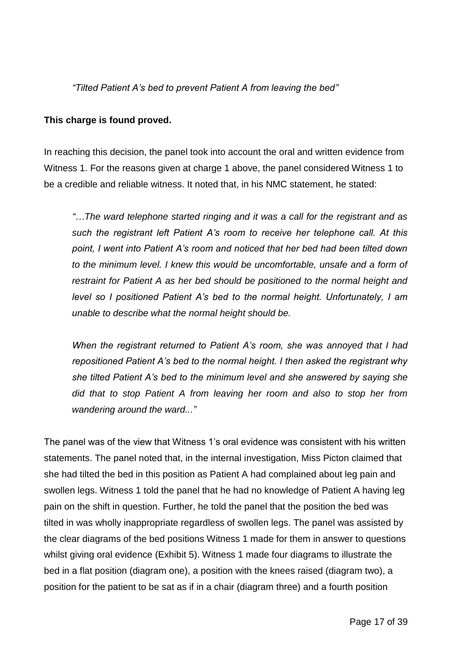*"Tilted Patient A's bed to prevent Patient A from leaving the bed"*

#### **This charge is found proved.**

In reaching this decision, the panel took into account the oral and written evidence from Witness 1. For the reasons given at charge 1 above, the panel considered Witness 1 to be a credible and reliable witness. It noted that, in his NMC statement, he stated:

*"…The ward telephone started ringing and it was a call for the registrant and as such the registrant left Patient A's room to receive her telephone call. At this point, I went into Patient A's room and noticed that her bed had been tilted down to the minimum level. I knew this would be uncomfortable, unsafe and a form of restraint for Patient A as her bed should be positioned to the normal height and level so I positioned Patient A's bed to the normal height. Unfortunately, I am unable to describe what the normal height should be.*

*When the registrant returned to Patient A's room, she was annoyed that I had repositioned Patient A's bed to the normal height. I then asked the registrant why she tilted Patient A's bed to the minimum level and she answered by saying she did that to stop Patient A from leaving her room and also to stop her from wandering around the ward..."*

The panel was of the view that Witness 1's oral evidence was consistent with his written statements. The panel noted that, in the internal investigation, Miss Picton claimed that she had tilted the bed in this position as Patient A had complained about leg pain and swollen legs. Witness 1 told the panel that he had no knowledge of Patient A having leg pain on the shift in question. Further, he told the panel that the position the bed was tilted in was wholly inappropriate regardless of swollen legs. The panel was assisted by the clear diagrams of the bed positions Witness 1 made for them in answer to questions whilst giving oral evidence (Exhibit 5). Witness 1 made four diagrams to illustrate the bed in a flat position (diagram one), a position with the knees raised (diagram two), a position for the patient to be sat as if in a chair (diagram three) and a fourth position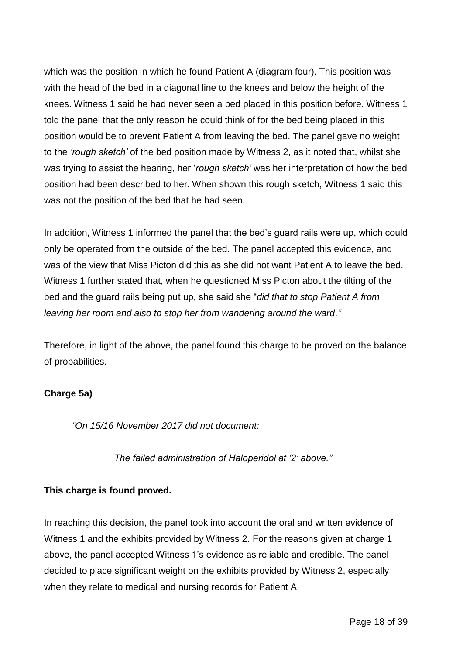which was the position in which he found Patient A (diagram four). This position was with the head of the bed in a diagonal line to the knees and below the height of the knees. Witness 1 said he had never seen a bed placed in this position before. Witness 1 told the panel that the only reason he could think of for the bed being placed in this position would be to prevent Patient A from leaving the bed. The panel gave no weight to the *'rough sketch'* of the bed position made by Witness 2, as it noted that, whilst she was trying to assist the hearing, her '*rough sketch'* was her interpretation of how the bed position had been described to her. When shown this rough sketch, Witness 1 said this was not the position of the bed that he had seen.

In addition, Witness 1 informed the panel that the bed's guard rails were up, which could only be operated from the outside of the bed. The panel accepted this evidence, and was of the view that Miss Picton did this as she did not want Patient A to leave the bed. Witness 1 further stated that, when he questioned Miss Picton about the tilting of the bed and the guard rails being put up, she said she "*did that to stop Patient A from leaving her room and also to stop her from wandering around the ward."*

Therefore, in light of the above, the panel found this charge to be proved on the balance of probabilities.

## **Charge 5a)**

*"On 15/16 November 2017 did not document:*

*The failed administration of Haloperidol at '2' above."*

## **This charge is found proved.**

In reaching this decision, the panel took into account the oral and written evidence of Witness 1 and the exhibits provided by Witness 2. For the reasons given at charge 1 above, the panel accepted Witness 1's evidence as reliable and credible. The panel decided to place significant weight on the exhibits provided by Witness 2, especially when they relate to medical and nursing records for Patient A.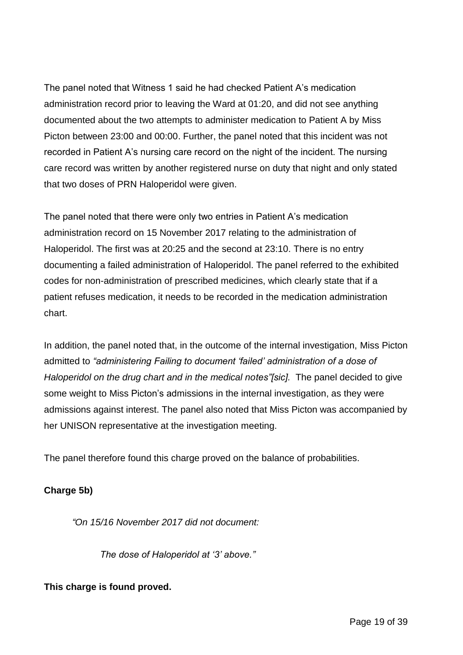The panel noted that Witness 1 said he had checked Patient A's medication administration record prior to leaving the Ward at 01:20, and did not see anything documented about the two attempts to administer medication to Patient A by Miss Picton between 23:00 and 00:00. Further, the panel noted that this incident was not recorded in Patient A's nursing care record on the night of the incident. The nursing care record was written by another registered nurse on duty that night and only stated that two doses of PRN Haloperidol were given.

The panel noted that there were only two entries in Patient A's medication administration record on 15 November 2017 relating to the administration of Haloperidol. The first was at 20:25 and the second at 23:10. There is no entry documenting a failed administration of Haloperidol. The panel referred to the exhibited codes for non-administration of prescribed medicines, which clearly state that if a patient refuses medication, it needs to be recorded in the medication administration chart.

In addition, the panel noted that, in the outcome of the internal investigation, Miss Picton admitted to *"administering Failing to document 'failed' administration of a dose of Haloperidol on the drug chart and in the medical notes"[sic].* The panel decided to give some weight to Miss Picton's admissions in the internal investigation, as they were admissions against interest. The panel also noted that Miss Picton was accompanied by her UNISON representative at the investigation meeting.

The panel therefore found this charge proved on the balance of probabilities.

# **Charge 5b)**

*"On 15/16 November 2017 did not document:*

*The dose of Haloperidol at '3' above."*

## **This charge is found proved.**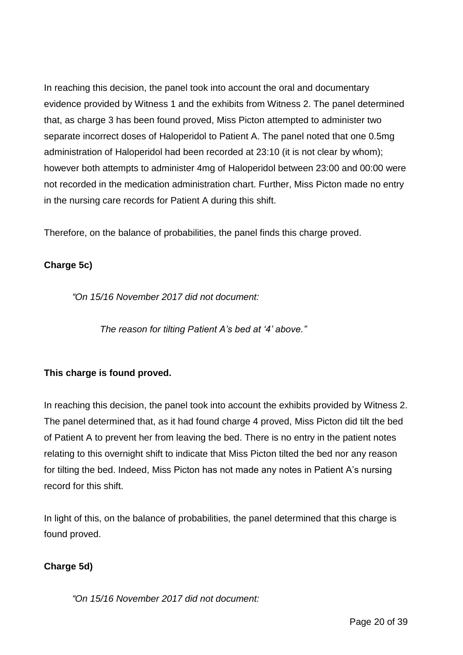In reaching this decision, the panel took into account the oral and documentary evidence provided by Witness 1 and the exhibits from Witness 2. The panel determined that, as charge 3 has been found proved, Miss Picton attempted to administer two separate incorrect doses of Haloperidol to Patient A. The panel noted that one 0.5mg administration of Haloperidol had been recorded at 23:10 (it is not clear by whom); however both attempts to administer 4mg of Haloperidol between 23:00 and 00:00 were not recorded in the medication administration chart. Further, Miss Picton made no entry in the nursing care records for Patient A during this shift.

Therefore, on the balance of probabilities, the panel finds this charge proved.

# **Charge 5c)**

*"On 15/16 November 2017 did not document:*

*The reason for tilting Patient A's bed at '4' above."*

## **This charge is found proved.**

In reaching this decision, the panel took into account the exhibits provided by Witness 2. The panel determined that, as it had found charge 4 proved, Miss Picton did tilt the bed of Patient A to prevent her from leaving the bed. There is no entry in the patient notes relating to this overnight shift to indicate that Miss Picton tilted the bed nor any reason for tilting the bed. Indeed, Miss Picton has not made any notes in Patient A's nursing record for this shift.

In light of this, on the balance of probabilities, the panel determined that this charge is found proved.

## **Charge 5d)**

*"On 15/16 November 2017 did not document:*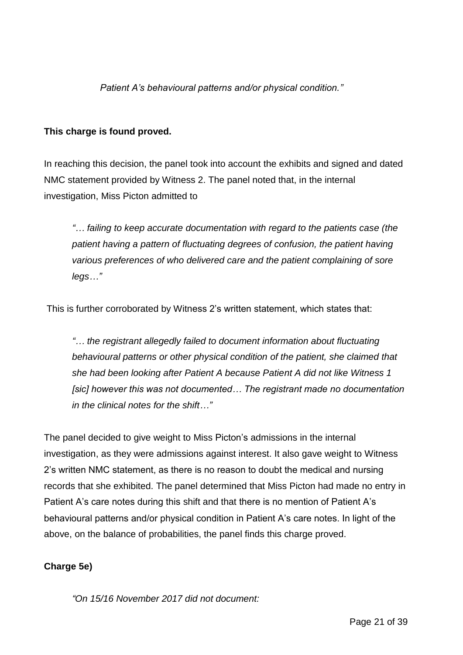*Patient A's behavioural patterns and/or physical condition."*

## **This charge is found proved.**

In reaching this decision, the panel took into account the exhibits and signed and dated NMC statement provided by Witness 2. The panel noted that, in the internal investigation, Miss Picton admitted to

*"… failing to keep accurate documentation with regard to the patients case (the patient having a pattern of fluctuating degrees of confusion, the patient having various preferences of who delivered care and the patient complaining of sore legs…"*

This is further corroborated by Witness 2's written statement, which states that:

*"… the registrant allegedly failed to document information about fluctuating behavioural patterns or other physical condition of the patient, she claimed that she had been looking after Patient A because Patient A did not like Witness 1 [sic] however this was not documented… The registrant made no documentation in the clinical notes for the shift…"* 

The panel decided to give weight to Miss Picton's admissions in the internal investigation, as they were admissions against interest. It also gave weight to Witness 2's written NMC statement, as there is no reason to doubt the medical and nursing records that she exhibited. The panel determined that Miss Picton had made no entry in Patient A's care notes during this shift and that there is no mention of Patient A's behavioural patterns and/or physical condition in Patient A's care notes. In light of the above, on the balance of probabilities, the panel finds this charge proved.

# **Charge 5e)**

*"On 15/16 November 2017 did not document:*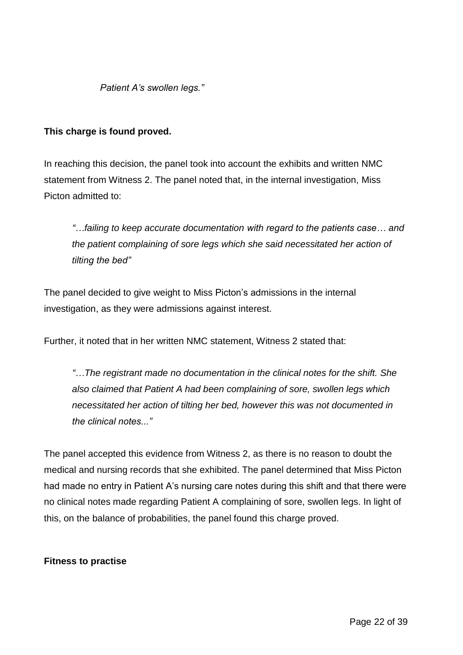*Patient A's swollen legs."*

#### **This charge is found proved.**

In reaching this decision, the panel took into account the exhibits and written NMC statement from Witness 2. The panel noted that, in the internal investigation, Miss Picton admitted to:

*"…failing to keep accurate documentation with regard to the patients case… and the patient complaining of sore legs which she said necessitated her action of tilting the bed"*

The panel decided to give weight to Miss Picton's admissions in the internal investigation, as they were admissions against interest.

Further, it noted that in her written NMC statement, Witness 2 stated that:

*"…The registrant made no documentation in the clinical notes for the shift. She also claimed that Patient A had been complaining of sore, swollen legs which necessitated her action of tilting her bed, however this was not documented in the clinical notes..."*

The panel accepted this evidence from Witness 2, as there is no reason to doubt the medical and nursing records that she exhibited. The panel determined that Miss Picton had made no entry in Patient A's nursing care notes during this shift and that there were no clinical notes made regarding Patient A complaining of sore, swollen legs. In light of this, on the balance of probabilities, the panel found this charge proved.

#### **Fitness to practise**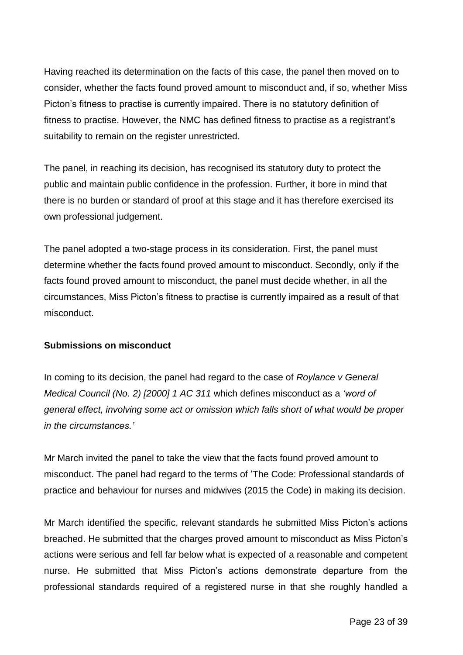Having reached its determination on the facts of this case, the panel then moved on to consider, whether the facts found proved amount to misconduct and, if so, whether Miss Picton's fitness to practise is currently impaired. There is no statutory definition of fitness to practise. However, the NMC has defined fitness to practise as a registrant's suitability to remain on the register unrestricted.

The panel, in reaching its decision, has recognised its statutory duty to protect the public and maintain public confidence in the profession. Further, it bore in mind that there is no burden or standard of proof at this stage and it has therefore exercised its own professional judgement.

The panel adopted a two-stage process in its consideration. First, the panel must determine whether the facts found proved amount to misconduct. Secondly, only if the facts found proved amount to misconduct, the panel must decide whether, in all the circumstances, Miss Picton's fitness to practise is currently impaired as a result of that misconduct.

#### **Submissions on misconduct**

In coming to its decision, the panel had regard to the case of *Roylance v General Medical Council (No. 2) [2000] 1 AC 311* which defines misconduct as a *'word of general effect, involving some act or omission which falls short of what would be proper in the circumstances.'*

Mr March invited the panel to take the view that the facts found proved amount to misconduct. The panel had regard to the terms of 'The Code: Professional standards of practice and behaviour for nurses and midwives (2015 the Code) in making its decision.

Mr March identified the specific, relevant standards he submitted Miss Picton's actions breached. He submitted that the charges proved amount to misconduct as Miss Picton's actions were serious and fell far below what is expected of a reasonable and competent nurse. He submitted that Miss Picton's actions demonstrate departure from the professional standards required of a registered nurse in that she roughly handled a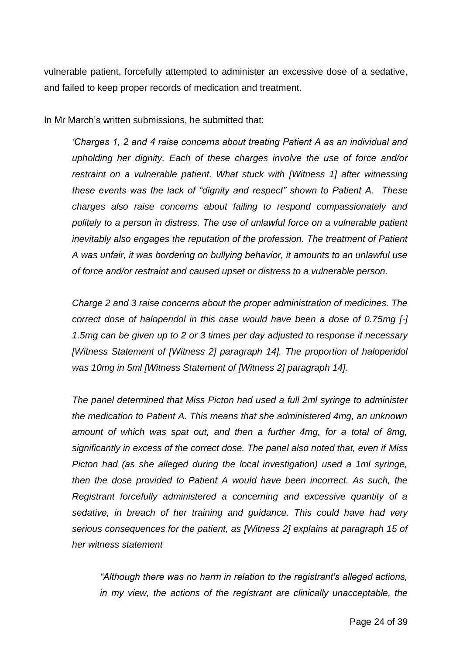vulnerable patient, forcefully attempted to administer an excessive dose of a sedative, and failed to keep proper records of medication and treatment.

In Mr March's written submissions, he submitted that:

*'Charges 1, 2 and 4 raise concerns about treating Patient A as an individual and upholding her dignity. Each of these charges involve the use of force and/or restraint on a vulnerable patient. What stuck with [Witness 1] after witnessing these events was the lack of "dignity and respect" shown to Patient A. These charges also raise concerns about failing to respond compassionately and politely to a person in distress. The use of unlawful force on a vulnerable patient inevitably also engages the reputation of the profession. The treatment of Patient A was unfair, it was bordering on bullying behavior, it amounts to an unlawful use of force and/or restraint and caused upset or distress to a vulnerable person.*

*Charge 2 and 3 raise concerns about the proper administration of medicines. The correct dose of haloperidol in this case would have been a dose of 0.75mg [-] 1.5mg can be given up to 2 or 3 times per day adjusted to response if necessary [Witness Statement of [Witness 2] paragraph 14]. The proportion of haloperidol was 10mg in 5ml [Witness Statement of [Witness 2] paragraph 14].*

*The panel determined that Miss Picton had used a full 2ml syringe to administer the medication to Patient A. This means that she administered 4mg, an unknown amount of which was spat out, and then a further 4mg, for a total of 8mg, significantly in excess of the correct dose. The panel also noted that, even if Miss Picton had (as she alleged during the local investigation) used a 1ml syringe, then the dose provided to Patient A would have been incorrect. As such, the Registrant forcefully administered a concerning and excessive quantity of a sedative, in breach of her training and guidance. This could have had very serious consequences for the patient, as [Witness 2] explains at paragraph 15 of her witness statement* 

*"Although there was no harm in relation to the registrant's alleged actions, in my view, the actions of the registrant are clinically unacceptable, the*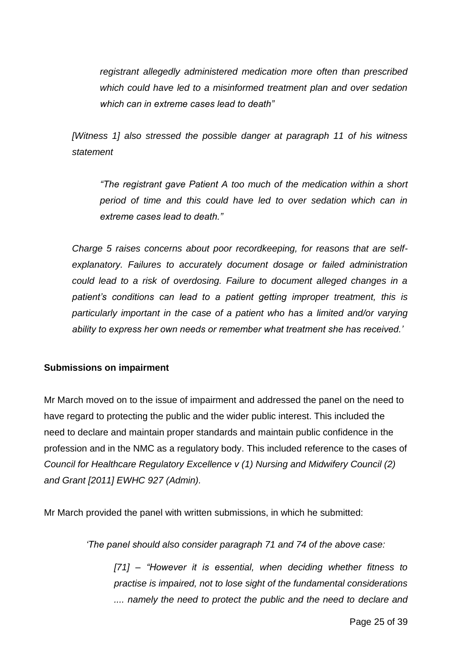*registrant allegedly administered medication more often than prescribed which could have led to a misinformed treatment plan and over sedation which can in extreme cases lead to death"*

*[Witness 1] also stressed the possible danger at paragraph 11 of his witness statement* 

*"The registrant gave Patient A too much of the medication within a short period of time and this could have led to over sedation which can in extreme cases lead to death."*

*Charge 5 raises concerns about poor recordkeeping, for reasons that are selfexplanatory. Failures to accurately document dosage or failed administration could lead to a risk of overdosing. Failure to document alleged changes in a*  patient's conditions can lead to a patient getting improper treatment, this is *particularly important in the case of a patient who has a limited and/or varying ability to express her own needs or remember what treatment she has received.'*

## **Submissions on impairment**

Mr March moved on to the issue of impairment and addressed the panel on the need to have regard to protecting the public and the wider public interest. This included the need to declare and maintain proper standards and maintain public confidence in the profession and in the NMC as a regulatory body. This included reference to the cases of *Council for Healthcare Regulatory Excellence v (1) Nursing and Midwifery Council (2) and Grant [2011] EWHC 927 (Admin).*

Mr March provided the panel with written submissions, in which he submitted:

*'The panel should also consider paragraph 71 and 74 of the above case:*

*[71] – "However it is essential, when deciding whether fitness to practise is impaired, not to lose sight of the fundamental considerations .... namely the need to protect the public and the need to declare and*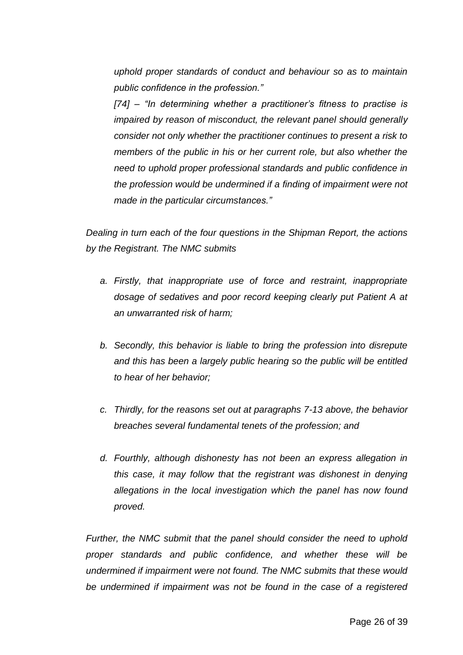*uphold proper standards of conduct and behaviour so as to maintain public confidence in the profession."*

*[74] – "In determining whether a practitioner's fitness to practise is impaired by reason of misconduct, the relevant panel should generally consider not only whether the practitioner continues to present a risk to members of the public in his or her current role, but also whether the need to uphold proper professional standards and public confidence in the profession would be undermined if a finding of impairment were not made in the particular circumstances."*

*Dealing in turn each of the four questions in the Shipman Report, the actions by the Registrant. The NMC submits* 

- *a. Firstly, that inappropriate use of force and restraint, inappropriate dosage of sedatives and poor record keeping clearly put Patient A at an unwarranted risk of harm;*
- *b. Secondly, this behavior is liable to bring the profession into disrepute and this has been a largely public hearing so the public will be entitled to hear of her behavior;*
- *c. Thirdly, for the reasons set out at paragraphs 7-13 above, the behavior breaches several fundamental tenets of the profession; and*
- *d. Fourthly, although dishonesty has not been an express allegation in this case, it may follow that the registrant was dishonest in denying allegations in the local investigation which the panel has now found proved.*

*Further, the NMC submit that the panel should consider the need to uphold proper standards and public confidence, and whether these will be undermined if impairment were not found. The NMC submits that these would be undermined if impairment was not be found in the case of a registered*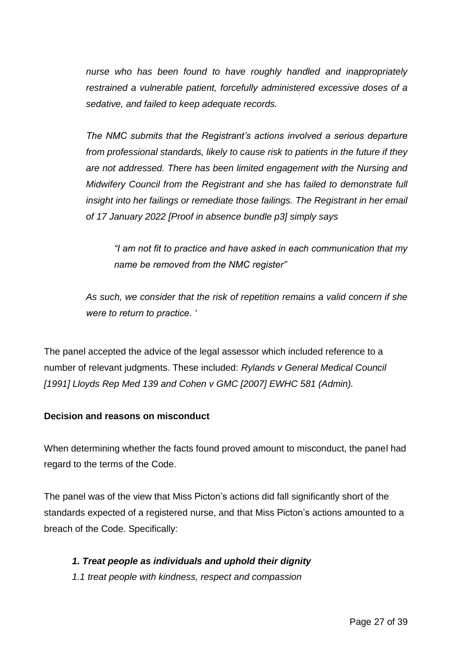*nurse who has been found to have roughly handled and inappropriately restrained a vulnerable patient, forcefully administered excessive doses of a sedative, and failed to keep adequate records.* 

*The NMC submits that the Registrant's actions involved a serious departure from professional standards, likely to cause risk to patients in the future if they are not addressed. There has been limited engagement with the Nursing and Midwifery Council from the Registrant and she has failed to demonstrate full insight into her failings or remediate those failings. The Registrant in her email of 17 January 2022 [Proof in absence bundle p3] simply says* 

*"I am not fit to practice and have asked in each communication that my name be removed from the NMC register"*

*As such, we consider that the risk of repetition remains a valid concern if she were to return to practice. '*

The panel accepted the advice of the legal assessor which included reference to a number of relevant judgments. These included: *Rylands v General Medical Council [1991] Lloyds Rep Med 139 and Cohen v GMC [2007] EWHC 581 (Admin).*

## **Decision and reasons on misconduct**

When determining whether the facts found proved amount to misconduct, the panel had regard to the terms of the Code.

The panel was of the view that Miss Picton's actions did fall significantly short of the standards expected of a registered nurse, and that Miss Picton's actions amounted to a breach of the Code. Specifically:

## *1. Treat people as individuals and uphold their dignity*

*1.1 treat people with kindness, respect and compassion*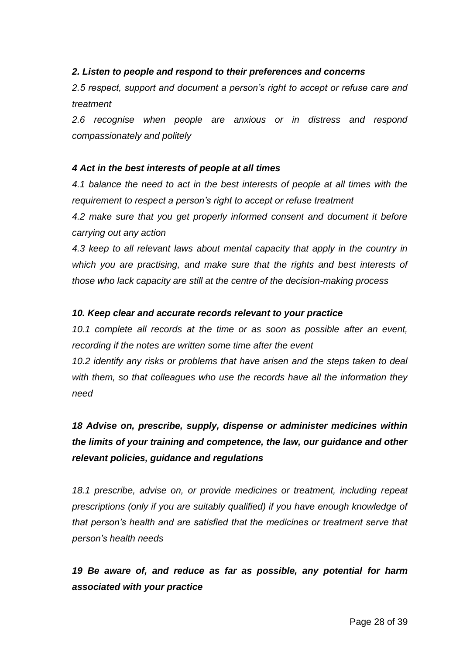#### *2. Listen to people and respond to their preferences and concerns*

*2.5 respect, support and document a person's right to accept or refuse care and treatment*

*2.6 recognise when people are anxious or in distress and respond compassionately and politely*

#### *4 Act in the best interests of people at all times*

*4.1 balance the need to act in the best interests of people at all times with the requirement to respect a person's right to accept or refuse treatment* 

*4.2 make sure that you get properly informed consent and document it before carrying out any action*

4.3 keep to all relevant laws about mental capacity that apply in the country in *which you are practising, and make sure that the rights and best interests of those who lack capacity are still at the centre of the decision-making process*

#### *10. Keep clear and accurate records relevant to your practice*

*10.1 complete all records at the time or as soon as possible after an event, recording if the notes are written some time after the event*

*10.2 identify any risks or problems that have arisen and the steps taken to deal with them, so that colleagues who use the records have all the information they need*

# *18 Advise on, prescribe, supply, dispense or administer medicines within the limits of your training and competence, the law, our guidance and other relevant policies, guidance and regulations*

*18.1 prescribe, advise on, or provide medicines or treatment, including repeat prescriptions (only if you are suitably qualified) if you have enough knowledge of that person's health and are satisfied that the medicines or treatment serve that person's health needs*

*19 Be aware of, and reduce as far as possible, any potential for harm associated with your practice*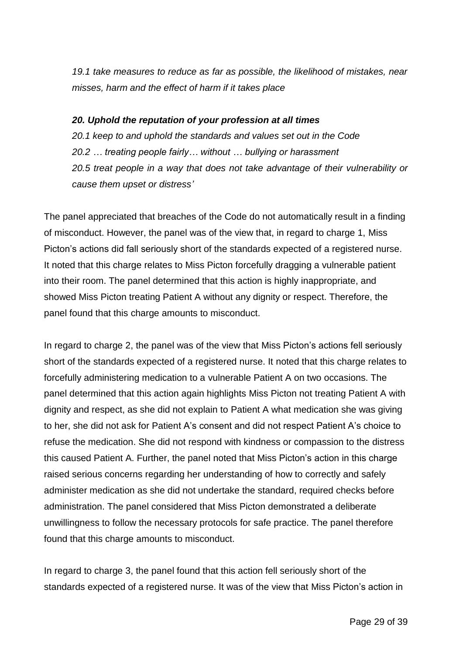*19.1 take measures to reduce as far as possible, the likelihood of mistakes, near misses, harm and the effect of harm if it takes place*

#### *20. Uphold the reputation of your profession at all times*

*20.1 keep to and uphold the standards and values set out in the Code 20.2 … treating people fairly… without … bullying or harassment 20.5 treat people in a way that does not take advantage of their vulnerability or cause them upset or distress'*

The panel appreciated that breaches of the Code do not automatically result in a finding of misconduct. However, the panel was of the view that, in regard to charge 1, Miss Picton's actions did fall seriously short of the standards expected of a registered nurse. It noted that this charge relates to Miss Picton forcefully dragging a vulnerable patient into their room. The panel determined that this action is highly inappropriate, and showed Miss Picton treating Patient A without any dignity or respect. Therefore, the panel found that this charge amounts to misconduct.

In regard to charge 2, the panel was of the view that Miss Picton's actions fell seriously short of the standards expected of a registered nurse. It noted that this charge relates to forcefully administering medication to a vulnerable Patient A on two occasions. The panel determined that this action again highlights Miss Picton not treating Patient A with dignity and respect, as she did not explain to Patient A what medication she was giving to her, she did not ask for Patient A's consent and did not respect Patient A's choice to refuse the medication. She did not respond with kindness or compassion to the distress this caused Patient A. Further, the panel noted that Miss Picton's action in this charge raised serious concerns regarding her understanding of how to correctly and safely administer medication as she did not undertake the standard, required checks before administration. The panel considered that Miss Picton demonstrated a deliberate unwillingness to follow the necessary protocols for safe practice. The panel therefore found that this charge amounts to misconduct.

In regard to charge 3, the panel found that this action fell seriously short of the standards expected of a registered nurse. It was of the view that Miss Picton's action in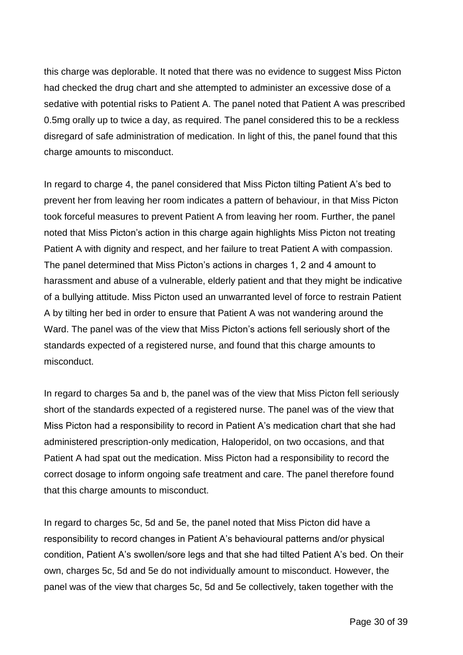this charge was deplorable. It noted that there was no evidence to suggest Miss Picton had checked the drug chart and she attempted to administer an excessive dose of a sedative with potential risks to Patient A. The panel noted that Patient A was prescribed 0.5mg orally up to twice a day, as required. The panel considered this to be a reckless disregard of safe administration of medication. In light of this, the panel found that this charge amounts to misconduct.

In regard to charge 4, the panel considered that Miss Picton tilting Patient A's bed to prevent her from leaving her room indicates a pattern of behaviour, in that Miss Picton took forceful measures to prevent Patient A from leaving her room. Further, the panel noted that Miss Picton's action in this charge again highlights Miss Picton not treating Patient A with dignity and respect, and her failure to treat Patient A with compassion. The panel determined that Miss Picton's actions in charges 1, 2 and 4 amount to harassment and abuse of a vulnerable, elderly patient and that they might be indicative of a bullying attitude. Miss Picton used an unwarranted level of force to restrain Patient A by tilting her bed in order to ensure that Patient A was not wandering around the Ward. The panel was of the view that Miss Picton's actions fell seriously short of the standards expected of a registered nurse, and found that this charge amounts to misconduct.

In regard to charges 5a and b, the panel was of the view that Miss Picton fell seriously short of the standards expected of a registered nurse. The panel was of the view that Miss Picton had a responsibility to record in Patient A's medication chart that she had administered prescription-only medication, Haloperidol, on two occasions, and that Patient A had spat out the medication. Miss Picton had a responsibility to record the correct dosage to inform ongoing safe treatment and care. The panel therefore found that this charge amounts to misconduct.

In regard to charges 5c, 5d and 5e, the panel noted that Miss Picton did have a responsibility to record changes in Patient A's behavioural patterns and/or physical condition, Patient A's swollen/sore legs and that she had tilted Patient A's bed. On their own, charges 5c, 5d and 5e do not individually amount to misconduct. However, the panel was of the view that charges 5c, 5d and 5e collectively, taken together with the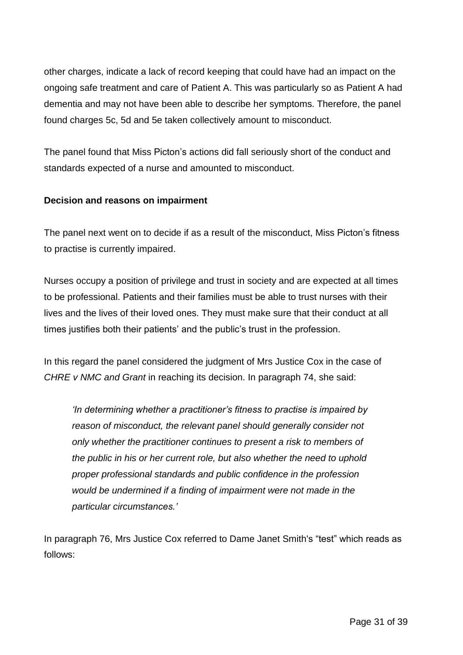other charges, indicate a lack of record keeping that could have had an impact on the ongoing safe treatment and care of Patient A. This was particularly so as Patient A had dementia and may not have been able to describe her symptoms. Therefore, the panel found charges 5c, 5d and 5e taken collectively amount to misconduct.

The panel found that Miss Picton's actions did fall seriously short of the conduct and standards expected of a nurse and amounted to misconduct.

## **Decision and reasons on impairment**

The panel next went on to decide if as a result of the misconduct, Miss Picton's fitness to practise is currently impaired.

Nurses occupy a position of privilege and trust in society and are expected at all times to be professional. Patients and their families must be able to trust nurses with their lives and the lives of their loved ones. They must make sure that their conduct at all times justifies both their patients' and the public's trust in the profession.

In this regard the panel considered the judgment of Mrs Justice Cox in the case of *CHRE v NMC and Grant* in reaching its decision. In paragraph 74, she said:

*'In determining whether a practitioner's fitness to practise is impaired by reason of misconduct, the relevant panel should generally consider not only whether the practitioner continues to present a risk to members of the public in his or her current role, but also whether the need to uphold proper professional standards and public confidence in the profession would be undermined if a finding of impairment were not made in the particular circumstances.'*

In paragraph 76, Mrs Justice Cox referred to Dame Janet Smith's "test" which reads as follows: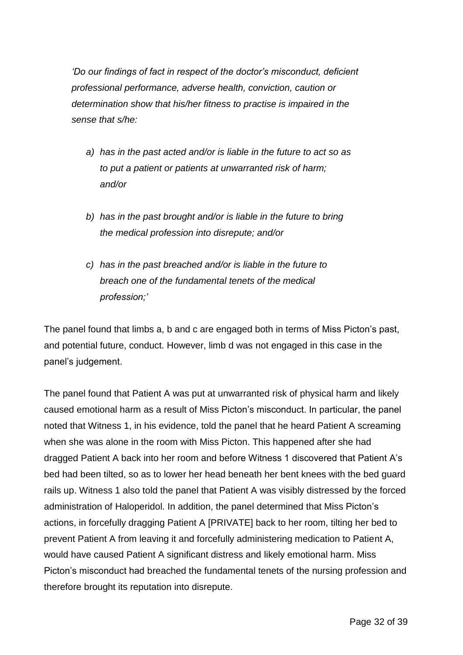*'Do our findings of fact in respect of the doctor's misconduct, deficient professional performance, adverse health, conviction, caution or determination show that his/her fitness to practise is impaired in the sense that s/he:*

- *a) has in the past acted and/or is liable in the future to act so as to put a patient or patients at unwarranted risk of harm; and/or*
- *b) has in the past brought and/or is liable in the future to bring the medical profession into disrepute; and/or*
- *c) has in the past breached and/or is liable in the future to breach one of the fundamental tenets of the medical profession;'*

The panel found that limbs a, b and c are engaged both in terms of Miss Picton's past, and potential future, conduct. However, limb d was not engaged in this case in the panel's judgement.

The panel found that Patient A was put at unwarranted risk of physical harm and likely caused emotional harm as a result of Miss Picton's misconduct. In particular, the panel noted that Witness 1, in his evidence, told the panel that he heard Patient A screaming when she was alone in the room with Miss Picton. This happened after she had dragged Patient A back into her room and before Witness 1 discovered that Patient A's bed had been tilted, so as to lower her head beneath her bent knees with the bed guard rails up. Witness 1 also told the panel that Patient A was visibly distressed by the forced administration of Haloperidol. In addition, the panel determined that Miss Picton's actions, in forcefully dragging Patient A [PRIVATE] back to her room, tilting her bed to prevent Patient A from leaving it and forcefully administering medication to Patient A, would have caused Patient A significant distress and likely emotional harm. Miss Picton's misconduct had breached the fundamental tenets of the nursing profession and therefore brought its reputation into disrepute.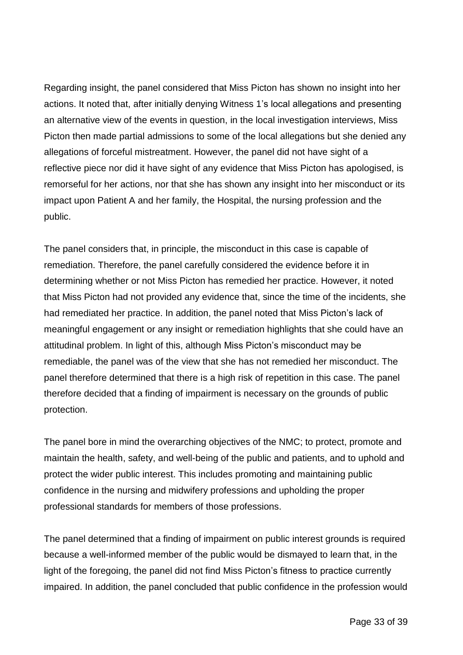Regarding insight, the panel considered that Miss Picton has shown no insight into her actions. It noted that, after initially denying Witness 1's local allegations and presenting an alternative view of the events in question, in the local investigation interviews, Miss Picton then made partial admissions to some of the local allegations but she denied any allegations of forceful mistreatment. However, the panel did not have sight of a reflective piece nor did it have sight of any evidence that Miss Picton has apologised, is remorseful for her actions, nor that she has shown any insight into her misconduct or its impact upon Patient A and her family, the Hospital, the nursing profession and the public.

The panel considers that, in principle, the misconduct in this case is capable of remediation. Therefore, the panel carefully considered the evidence before it in determining whether or not Miss Picton has remedied her practice. However, it noted that Miss Picton had not provided any evidence that, since the time of the incidents, she had remediated her practice. In addition, the panel noted that Miss Picton's lack of meaningful engagement or any insight or remediation highlights that she could have an attitudinal problem. In light of this, although Miss Picton's misconduct may be remediable, the panel was of the view that she has not remedied her misconduct. The panel therefore determined that there is a high risk of repetition in this case. The panel therefore decided that a finding of impairment is necessary on the grounds of public protection.

The panel bore in mind the overarching objectives of the NMC; to protect, promote and maintain the health, safety, and well-being of the public and patients, and to uphold and protect the wider public interest. This includes promoting and maintaining public confidence in the nursing and midwifery professions and upholding the proper professional standards for members of those professions.

The panel determined that a finding of impairment on public interest grounds is required because a well-informed member of the public would be dismayed to learn that, in the light of the foregoing, the panel did not find Miss Picton's fitness to practice currently impaired. In addition, the panel concluded that public confidence in the profession would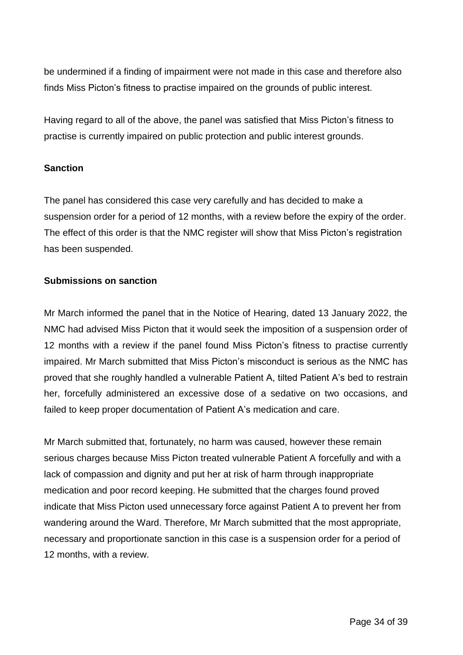be undermined if a finding of impairment were not made in this case and therefore also finds Miss Picton's fitness to practise impaired on the grounds of public interest.

Having regard to all of the above, the panel was satisfied that Miss Picton's fitness to practise is currently impaired on public protection and public interest grounds.

#### **Sanction**

The panel has considered this case very carefully and has decided to make a suspension order for a period of 12 months, with a review before the expiry of the order. The effect of this order is that the NMC register will show that Miss Picton's registration has been suspended.

#### **Submissions on sanction**

Mr March informed the panel that in the Notice of Hearing, dated 13 January 2022, the NMC had advised Miss Picton that it would seek the imposition of a suspension order of 12 months with a review if the panel found Miss Picton's fitness to practise currently impaired. Mr March submitted that Miss Picton's misconduct is serious as the NMC has proved that she roughly handled a vulnerable Patient A, tilted Patient A's bed to restrain her, forcefully administered an excessive dose of a sedative on two occasions, and failed to keep proper documentation of Patient A's medication and care.

Mr March submitted that, fortunately, no harm was caused, however these remain serious charges because Miss Picton treated vulnerable Patient A forcefully and with a lack of compassion and dignity and put her at risk of harm through inappropriate medication and poor record keeping. He submitted that the charges found proved indicate that Miss Picton used unnecessary force against Patient A to prevent her from wandering around the Ward. Therefore, Mr March submitted that the most appropriate, necessary and proportionate sanction in this case is a suspension order for a period of 12 months, with a review.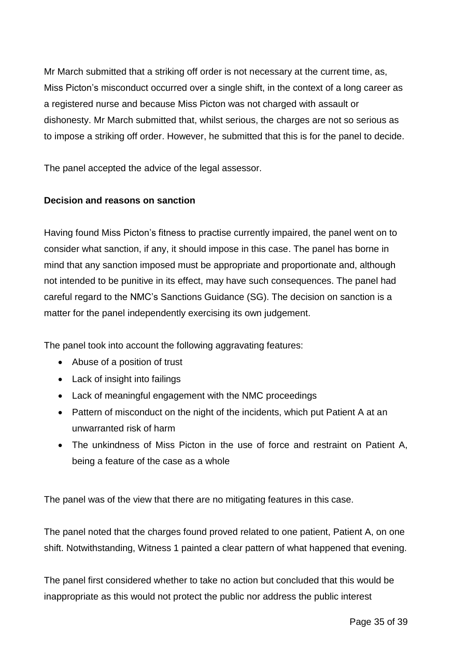Mr March submitted that a striking off order is not necessary at the current time, as, Miss Picton's misconduct occurred over a single shift, in the context of a long career as a registered nurse and because Miss Picton was not charged with assault or dishonesty. Mr March submitted that, whilst serious, the charges are not so serious as to impose a striking off order. However, he submitted that this is for the panel to decide.

The panel accepted the advice of the legal assessor.

# **Decision and reasons on sanction**

Having found Miss Picton's fitness to practise currently impaired, the panel went on to consider what sanction, if any, it should impose in this case. The panel has borne in mind that any sanction imposed must be appropriate and proportionate and, although not intended to be punitive in its effect, may have such consequences. The panel had careful regard to the NMC's Sanctions Guidance (SG). The decision on sanction is a matter for the panel independently exercising its own judgement.

The panel took into account the following aggravating features:

- Abuse of a position of trust
- Lack of insight into failings
- Lack of meaningful engagement with the NMC proceedings
- Pattern of misconduct on the night of the incidents, which put Patient A at an unwarranted risk of harm
- The unkindness of Miss Picton in the use of force and restraint on Patient A, being a feature of the case as a whole

The panel was of the view that there are no mitigating features in this case.

The panel noted that the charges found proved related to one patient, Patient A, on one shift. Notwithstanding, Witness 1 painted a clear pattern of what happened that evening.

The panel first considered whether to take no action but concluded that this would be inappropriate as this would not protect the public nor address the public interest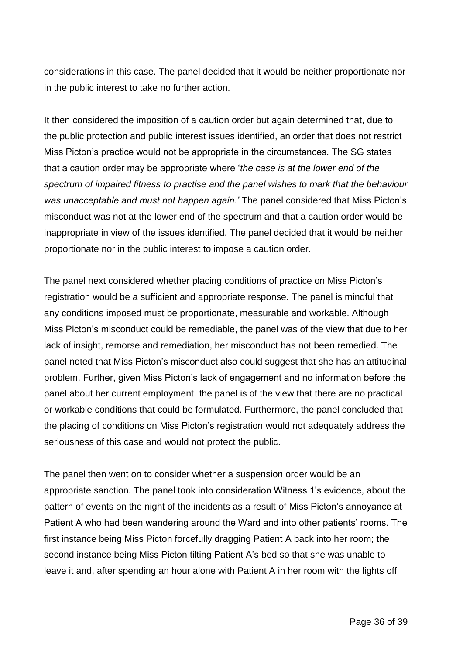considerations in this case. The panel decided that it would be neither proportionate nor in the public interest to take no further action.

It then considered the imposition of a caution order but again determined that, due to the public protection and public interest issues identified, an order that does not restrict Miss Picton's practice would not be appropriate in the circumstances. The SG states that a caution order may be appropriate where '*the case is at the lower end of the spectrum of impaired fitness to practise and the panel wishes to mark that the behaviour was unacceptable and must not happen again.'* The panel considered that Miss Picton's misconduct was not at the lower end of the spectrum and that a caution order would be inappropriate in view of the issues identified. The panel decided that it would be neither proportionate nor in the public interest to impose a caution order.

The panel next considered whether placing conditions of practice on Miss Picton's registration would be a sufficient and appropriate response. The panel is mindful that any conditions imposed must be proportionate, measurable and workable. Although Miss Picton's misconduct could be remediable, the panel was of the view that due to her lack of insight, remorse and remediation, her misconduct has not been remedied. The panel noted that Miss Picton's misconduct also could suggest that she has an attitudinal problem. Further, given Miss Picton's lack of engagement and no information before the panel about her current employment, the panel is of the view that there are no practical or workable conditions that could be formulated. Furthermore, the panel concluded that the placing of conditions on Miss Picton's registration would not adequately address the seriousness of this case and would not protect the public.

The panel then went on to consider whether a suspension order would be an appropriate sanction. The panel took into consideration Witness 1's evidence, about the pattern of events on the night of the incidents as a result of Miss Picton's annoyance at Patient A who had been wandering around the Ward and into other patients' rooms. The first instance being Miss Picton forcefully dragging Patient A back into her room; the second instance being Miss Picton tilting Patient A's bed so that she was unable to leave it and, after spending an hour alone with Patient A in her room with the lights off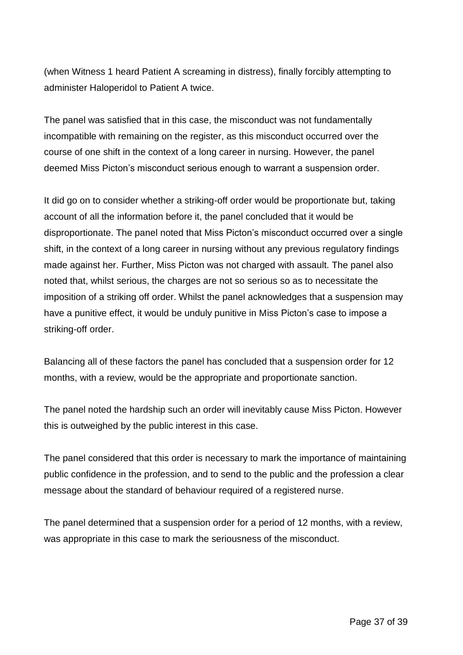(when Witness 1 heard Patient A screaming in distress), finally forcibly attempting to administer Haloperidol to Patient A twice.

The panel was satisfied that in this case, the misconduct was not fundamentally incompatible with remaining on the register, as this misconduct occurred over the course of one shift in the context of a long career in nursing. However, the panel deemed Miss Picton's misconduct serious enough to warrant a suspension order.

It did go on to consider whether a striking-off order would be proportionate but, taking account of all the information before it, the panel concluded that it would be disproportionate. The panel noted that Miss Picton's misconduct occurred over a single shift, in the context of a long career in nursing without any previous regulatory findings made against her. Further, Miss Picton was not charged with assault. The panel also noted that, whilst serious, the charges are not so serious so as to necessitate the imposition of a striking off order. Whilst the panel acknowledges that a suspension may have a punitive effect, it would be unduly punitive in Miss Picton's case to impose a striking-off order.

Balancing all of these factors the panel has concluded that a suspension order for 12 months, with a review, would be the appropriate and proportionate sanction.

The panel noted the hardship such an order will inevitably cause Miss Picton. However this is outweighed by the public interest in this case.

The panel considered that this order is necessary to mark the importance of maintaining public confidence in the profession, and to send to the public and the profession a clear message about the standard of behaviour required of a registered nurse.

The panel determined that a suspension order for a period of 12 months, with a review, was appropriate in this case to mark the seriousness of the misconduct.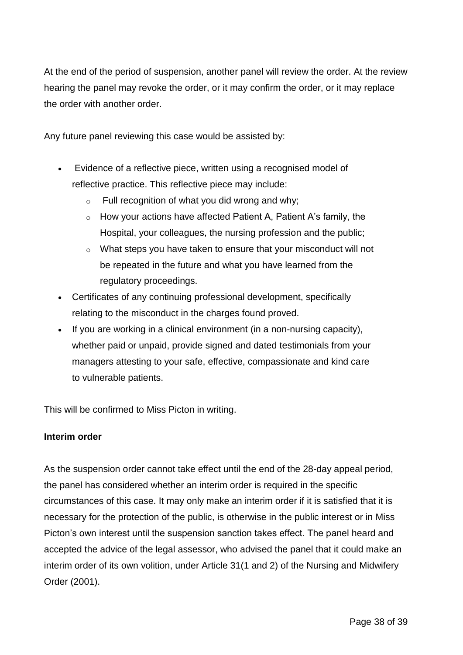At the end of the period of suspension, another panel will review the order. At the review hearing the panel may revoke the order, or it may confirm the order, or it may replace the order with another order.

Any future panel reviewing this case would be assisted by:

- Evidence of a reflective piece, written using a recognised model of reflective practice. This reflective piece may include:
	- $\circ$  Full recognition of what you did wrong and why:
	- $\circ$  How your actions have affected Patient A, Patient A's family, the Hospital, your colleagues, the nursing profession and the public;
	- o What steps you have taken to ensure that your misconduct will not be repeated in the future and what you have learned from the regulatory proceedings.
- Certificates of any continuing professional development, specifically relating to the misconduct in the charges found proved.
- $\bullet$  If you are working in a clinical environment (in a non-nursing capacity), whether paid or unpaid, provide signed and dated testimonials from your managers attesting to your safe, effective, compassionate and kind care to vulnerable patients.

This will be confirmed to Miss Picton in writing.

#### **Interim order**

As the suspension order cannot take effect until the end of the 28-day appeal period, the panel has considered whether an interim order is required in the specific circumstances of this case. It may only make an interim order if it is satisfied that it is necessary for the protection of the public, is otherwise in the public interest or in Miss Picton's own interest until the suspension sanction takes effect. The panel heard and accepted the advice of the legal assessor, who advised the panel that it could make an interim order of its own volition, under Article 31(1 and 2) of the Nursing and Midwifery Order (2001).